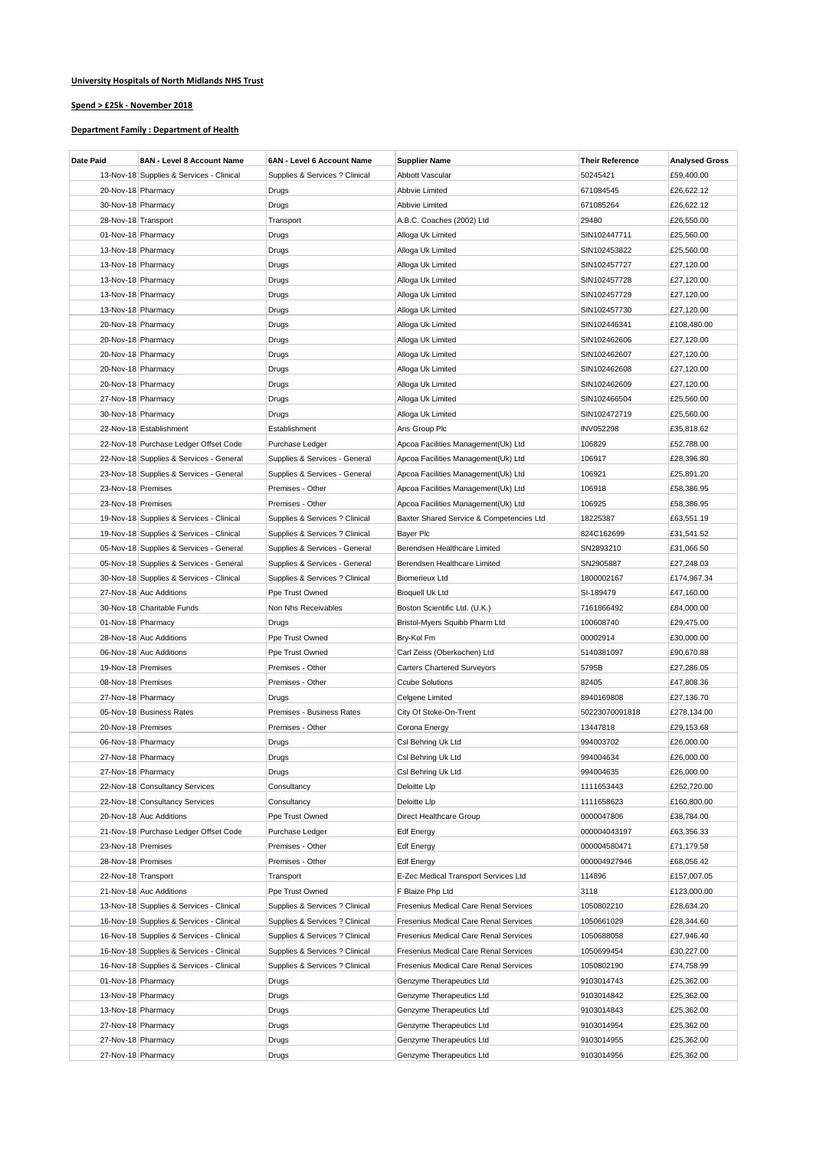## **University Hospitals of North Midlands NHS Trust**

## **Spend > £25k - November 2018**

## **Department Family : Department of Health**

| Date Paid           | 8AN - Level 8 Account Name               | 6AN - Level 6 Account Name     | <b>Supplier Name</b>                     | <b>Their Reference</b> | <b>Analysed Gross</b> |
|---------------------|------------------------------------------|--------------------------------|------------------------------------------|------------------------|-----------------------|
|                     | 13-Nov-18 Supplies & Services - Clinical | Supplies & Services ? Clinical | Abbott Vascular                          | 50245421               | £59,400.00            |
| 20-Nov-18 Pharmacy  |                                          | Drugs                          | Abbvie Limited                           | 671084545              | £26,622.12            |
| 30-Nov-18 Pharmacy  |                                          | Drugs                          | Abbvie Limited                           | 671085264              | £26,622.12            |
| 28-Nov-18 Transport |                                          | Transport                      | A.B.C. Coaches (2002) Ltd                | 29480                  | £26,550.00            |
| 01-Nov-18 Pharmacy  |                                          | Drugs                          | Alloga Uk Limited                        | SIN102447711           | £25,560.00            |
| 13-Nov-18 Pharmacy  |                                          | Drugs                          | Alloga Uk Limited                        | SIN102453822           | £25,560.00            |
| 13-Nov-18 Pharmacy  |                                          | Drugs                          | Alloga Uk Limited                        | SIN102457727           | £27,120.00            |
| 13-Nov-18 Pharmacy  |                                          | Drugs                          | Alloga Uk Limited                        | SIN102457728           | £27,120.00            |
| 13-Nov-18 Pharmacy  |                                          | Drugs                          | Alloga Uk Limited                        | SIN102457729           | £27,120.00            |
| 13-Nov-18 Pharmacy  |                                          | Drugs                          | Alloga Uk Limited                        | SIN102457730           | £27,120.00            |
| 20-Nov-18 Pharmacy  |                                          | Drugs                          | Alloga Uk Limited                        | SIN102446341           | £108,480.00           |
| 20-Nov-18 Pharmacy  |                                          | Drugs                          | Alloga Uk Limited                        | SIN102462606           | £27,120.00            |
| 20-Nov-18 Pharmacy  |                                          | Drugs                          | Alloga Uk Limited                        | SIN102462607           | £27,120.00            |
| 20-Nov-18 Pharmacy  |                                          | Drugs                          | Alloga Uk Limited                        | SIN102462608           | £27,120.00            |
| 20-Nov-18 Pharmacy  |                                          | Drugs                          | Alloga Uk Limited                        | SIN102462609           | £27,120.00            |
| 27-Nov-18 Pharmacy  |                                          |                                | Alloga Uk Limited                        |                        |                       |
|                     |                                          | Drugs                          |                                          | SIN102466504           | £25,560.00            |
| 30-Nov-18 Pharmacy  |                                          | Drugs                          | Alloga Uk Limited                        | SIN102472719           | £25,560.00            |
|                     | 22-Nov-18 Establishment                  | Establishment                  | Ans Group Plc                            | <b>INV052298</b>       | £35,818.62            |
|                     | 22-Nov-18 Purchase Ledger Offset Code    | Purchase Ledger                | Apcoa Facilities Management(Uk) Ltd      | 106829                 | £52,788.00            |
|                     | 22-Nov-18 Supplies & Services - General  | Supplies & Services - General  | Apcoa Facilities Management(Uk) Ltd      | 106917                 | £28,396.80            |
|                     | 23-Nov-18 Supplies & Services - General  | Supplies & Services - General  | Apcoa Facilities Management(Uk) Ltd      | 106921                 | £25,891.20            |
| 23-Nov-18 Premises  |                                          | Premises - Other               | Apcoa Facilities Management(Uk) Ltd      | 106918                 | £58,386.95            |
| 23-Nov-18 Premises  |                                          | Premises - Other               | Apcoa Facilities Management(Uk) Ltd      | 106925                 | £58,386.95            |
|                     | 19-Nov-18 Supplies & Services - Clinical | Supplies & Services ? Clinical | Baxter Shared Service & Competencies Ltd | 18225387               | £63,551.19            |
|                     | 19-Nov-18 Supplies & Services - Clinical | Supplies & Services ? Clinical | <b>Bayer Plc</b>                         | 824C162699             | £31,541.52            |
|                     | 05-Nov-18 Supplies & Services - General  | Supplies & Services - General  | Berendsen Healthcare Limited             | SN2893210              | £31,066.50            |
|                     | 05-Nov-18 Supplies & Services - General  | Supplies & Services - General  | Berendsen Healthcare Limited             | SN2905887              | £27,248.03            |
|                     | 30-Nov-18 Supplies & Services - Clinical | Supplies & Services ? Clinical | <b>Biomerieux Ltd</b>                    | 1800002167             | £174,967.34           |
|                     | 27-Nov-18 Auc Additions                  | Ppe Trust Owned                | <b>Bioquell Uk Ltd</b>                   | SI-189479              | £47,160.00            |
|                     | 30-Nov-18 Charitable Funds               | Non Nhs Receivables            | Boston Scientific Ltd. (U.K.)            | 7161866492             | £84,000.00            |
| 01-Nov-18 Pharmacy  |                                          | Drugs                          | Bristol-Myers Squibb Pharm Ltd           | 100608740              | £29,475.00            |
|                     | 28-Nov-18 Auc Additions                  | Ppe Trust Owned                | Bry-Kol Fm                               | 00002914               | £30,000.00            |
|                     | 06-Nov-18 Auc Additions                  | Ppe Trust Owned                | Carl Zeiss (Oberkochen) Ltd              | 5140381097             | £90,670.88            |
| 19-Nov-18 Premises  |                                          | Premises - Other               | <b>Carters Chartered Surveyors</b>       | 5795B                  | £27,286.05            |
| 08-Nov-18 Premises  |                                          | Premises - Other               | <b>Ccube Solutions</b>                   | 82405                  | £47,808.36            |
| 27-Nov-18 Pharmacy  |                                          | Drugs                          | Celgene Limited                          | 8940169808             | £27,136.70            |
|                     | 05-Nov-18 Business Rates                 | Premises - Business Rates      | City Of Stoke-On-Trent                   | 50223070091818         | £278,134.00           |
| 20-Nov-18 Premises  |                                          | Premises - Other               | Corona Energy                            | 13447818               | £29,153.68            |
| 06-Nov-18 Pharmacy  |                                          | Drugs                          | Csl Behring Uk Ltd                       | 994003702              | £26,000.00            |
| 27-Nov-18 Pharmacy  |                                          | Drugs                          | Csl Behring Uk Ltd                       | 994004634              | £26,000.00            |
| 27-Nov-18 Pharmacy  |                                          | Drugs                          | Csl Behring Uk Ltd                       | 994004635              | £26,000.00            |
|                     | 22-Nov-18 Consultancy Services           | Consultancy                    | Deloitte Llp                             | 1111653443             | £252,720.00           |
|                     | 22-Nov-18 Consultancy Services           | Consultancy                    | Deloitte Llp                             | 1111658623             | £160,800.00           |
|                     | 20-Nov-18 Auc Additions                  | Ppe Trust Owned                | Direct Healthcare Group                  | 0000047806             | £38,784.00            |
|                     | 21-Nov-18 Purchase Ledger Offset Code    | Purchase Ledger                | Edf Energy                               | 000004043197           | £63,356.33            |
| 23-Nov-18 Premises  |                                          | Premises - Other               | <b>Edf Energy</b>                        | 000004580471           | £71,179.58            |
| 28-Nov-18 Premises  |                                          | Premises - Other               | <b>Edf Energy</b>                        | 000004927946           | £68,056.42            |
| 22-Nov-18 Transport |                                          | Transport                      | E-Zec Medical Transport Services Ltd     | 114896                 | £157,007.05           |
|                     | 21-Nov-18 Auc Additions                  | Ppe Trust Owned                | F Blaize Php Ltd                         | 3118                   | £123,000.00           |
|                     | 13-Nov-18 Supplies & Services - Clinical | Supplies & Services ? Clinical | Fresenius Medical Care Renal Services    | 1050802210             | £28,634.20            |
|                     | 16-Nov-18 Supplies & Services - Clinical | Supplies & Services ? Clinical | Fresenius Medical Care Renal Services    | 1050661029             | £28,344.60            |
|                     | 16-Nov-18 Supplies & Services - Clinical | Supplies & Services ? Clinical | Fresenius Medical Care Renal Services    | 1050688058             | £27,946.40            |
|                     | 16-Nov-18 Supplies & Services - Clinical | Supplies & Services ? Clinical | Fresenius Medical Care Renal Services    | 1050699454             | £30,227.00            |
|                     | 16-Nov-18 Supplies & Services - Clinical | Supplies & Services ? Clinical | Fresenius Medical Care Renal Services    | 1050802190             | £74,758.99            |
|                     |                                          |                                |                                          |                        |                       |
| 01-Nov-18 Pharmacy  |                                          | Drugs                          | Genzyme Therapeutics Ltd                 | 9103014743             | £25,362.00            |
| 13-Nov-18 Pharmacy  |                                          | Drugs                          | Genzyme Therapeutics Ltd                 | 9103014842             | £25,362.00            |
| 13-Nov-18 Pharmacy  |                                          | Drugs                          | Genzyme Therapeutics Ltd                 | 9103014843             | £25,362.00            |
| 27-Nov-18 Pharmacy  |                                          | Drugs                          | Genzyme Therapeutics Ltd                 | 9103014954             | £25,362.00            |
| 27-Nov-18 Pharmacy  |                                          | Drugs                          | Genzyme Therapeutics Ltd                 | 9103014955             | £25,362.00            |
| 27-Nov-18 Pharmacy  |                                          | Drugs                          | Genzyme Therapeutics Ltd                 | 9103014956             | £25,362.00            |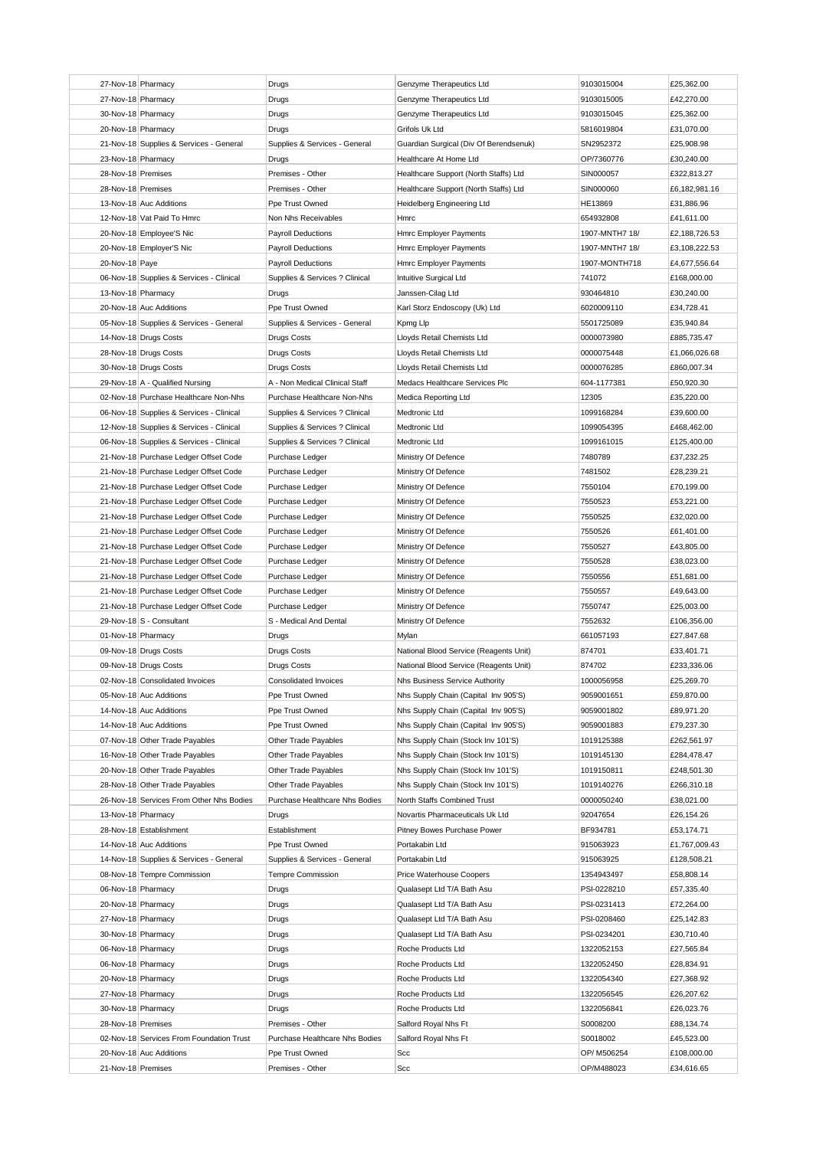| 27-Nov-18 Pharmacy                            | Drugs                               | Genzyme Therapeutics Ltd               | 9103015004                | £25,362.00                |
|-----------------------------------------------|-------------------------------------|----------------------------------------|---------------------------|---------------------------|
| 27-Nov-18 Pharmacy                            | Drugs                               | Genzyme Therapeutics Ltd               | 9103015005                | £42,270.00                |
| 30-Nov-18 Pharmacy                            | Drugs                               | Genzyme Therapeutics Ltd               | 9103015045                | £25,362.00                |
| 20-Nov-18 Pharmacy                            | Drugs                               | Grifols Uk Ltd                         | 5816019804                | £31,070.00                |
| 21-Nov-18 Supplies & Services - General       | Supplies & Services - General       | Guardian Surgical (Div Of Berendsenuk) | SN2952372                 | £25,908.98                |
| 23-Nov-18 Pharmacy                            | Drugs                               | Healthcare At Home Ltd                 | OP/7360776                | £30,240.00                |
|                                               | Premises - Other                    | Healthcare Support (North Staffs) Ltd  |                           |                           |
| 28-Nov-18 Premises                            |                                     |                                        | SIN000057                 | £322,813.27               |
| 28-Nov-18 Premises                            | Premises - Other                    | Healthcare Support (North Staffs) Ltd  | SIN000060                 | £6,182,981.16             |
| 13-Nov-18 Auc Additions                       | Ppe Trust Owned                     | Heidelberg Engineering Ltd             | HE13869                   | £31,886.96                |
| 12-Nov-18 Vat Paid To Hmrc                    | Non Nhs Receivables                 | Hmrc                                   | 654932808                 | £41,611.00                |
| 20-Nov-18 Employee'S Nic                      | <b>Payroll Deductions</b>           | Hmrc Employer Payments                 | 1907-MNTH7 18/            | £2,188,726.53             |
| 20-Nov-18 Employer'S Nic                      | <b>Payroll Deductions</b>           | Hmrc Employer Payments                 | 1907-MNTH7 18/            | £3,108,222.53             |
| 20-Nov-18 Paye                                | <b>Payroll Deductions</b>           | Hmrc Employer Payments                 | 1907-MONTH718             | £4,677,556.64             |
| 06-Nov-18 Supplies & Services - Clinical      | Supplies & Services ? Clinical      | Intuitive Surgical Ltd                 | 741072                    | £168,000.00               |
| 13-Nov-18 Pharmacy                            | Drugs                               | Janssen-Cilag Ltd                      | 930464810                 | £30,240.00                |
| 20-Nov-18 Auc Additions                       | Ppe Trust Owned                     | Karl Storz Endoscopy (Uk) Ltd          | 6020009110                | £34,728.41                |
| 05-Nov-18 Supplies & Services - General       | Supplies & Services - General       | Kpmg Llp                               | 5501725089                | £35,940.84                |
| 14-Nov-18 Drugs Costs                         | <b>Drugs Costs</b>                  | Lloyds Retail Chemists Ltd             | 0000073980                | £885,735.47               |
| 28-Nov-18 Drugs Costs                         | <b>Drugs Costs</b>                  | Lloyds Retail Chemists Ltd             | 0000075448                | £1.066.026.68             |
| 30-Nov-18 Drugs Costs                         | <b>Drugs Costs</b>                  | Lloyds Retail Chemists Ltd             | 0000076285                | £860,007.34               |
|                                               |                                     | Medacs Healthcare Services Plc         |                           | £50,920.30                |
| 29-Nov-18 A - Qualified Nursing               | A - Non Medical Clinical Staff      |                                        | 604-1177381               |                           |
| 02-Nov-18 Purchase Healthcare Non-Nhs         | Purchase Healthcare Non-Nhs         | Medica Reporting Ltd                   | 12305                     | £35,220.00                |
| 06-Nov-18 Supplies & Services - Clinical      | Supplies & Services ? Clinical      | Medtronic Ltd                          | 1099168284                | £39,600.00                |
| 12-Nov-18 Supplies & Services - Clinical      | Supplies & Services ? Clinical      | Medtronic Ltd                          | 1099054395                | £468,462.00               |
| 06-Nov-18 Supplies & Services - Clinical      | Supplies & Services ? Clinical      | Medtronic Ltd                          | 1099161015                | £125,400.00               |
| 21-Nov-18 Purchase Ledger Offset Code         | Purchase Ledger                     | Ministry Of Defence                    | 7480789                   | £37,232.25                |
| 21-Nov-18 Purchase Ledger Offset Code         | Purchase Ledger                     | Ministry Of Defence                    | 7481502                   | £28,239.21                |
| 21-Nov-18 Purchase Ledger Offset Code         | Purchase Ledger                     | Ministry Of Defence                    | 7550104                   | £70,199.00                |
| 21-Nov-18 Purchase Ledger Offset Code         | Purchase Ledger                     | Ministry Of Defence                    | 7550523                   | £53,221.00                |
| 21-Nov-18 Purchase Ledger Offset Code         | Purchase Ledger                     | Ministry Of Defence                    | 7550525                   | £32,020.00                |
| 21-Nov-18 Purchase Ledger Offset Code         | Purchase Ledger                     | Ministry Of Defence                    | 7550526                   | £61,401.00                |
| 21-Nov-18 Purchase Ledger Offset Code         | Purchase Ledger                     | Ministry Of Defence                    | 7550527                   | £43,805.00                |
| 21-Nov-18 Purchase Ledger Offset Code         | Purchase Ledger                     | Ministry Of Defence                    | 7550528                   | £38,023.00                |
| 21-Nov-18 Purchase Ledger Offset Code         | Purchase Ledger                     | Ministry Of Defence                    | 7550556                   | £51,681.00                |
|                                               |                                     |                                        |                           |                           |
|                                               |                                     |                                        |                           |                           |
| 21-Nov-18 Purchase Ledger Offset Code         | Purchase Ledger                     | Ministry Of Defence                    | 7550557                   | £49,643.00                |
| 21-Nov-18 Purchase Ledger Offset Code         | Purchase Ledger                     | Ministry Of Defence                    | 7550747                   | £25,003.00                |
| 29-Nov-18 S - Consultant                      | S - Medical And Dental              | Ministry Of Defence                    | 7552632                   | £106,356.00               |
| 01-Nov-18 Pharmacy                            | Drugs                               | Mylan                                  | 661057193                 | £27,847.68                |
| 09-Nov-18 Drugs Costs                         | <b>Drugs Costs</b>                  | National Blood Service (Reagents Unit) | 874701                    | £33,401.71                |
| 09-Nov-18 Drugs Costs                         | <b>Drugs Costs</b>                  | National Blood Service (Reagents Unit) | 874702                    | £233,336.06               |
| 02-Nov-18 Consolidated Invoices               | <b>Consolidated Invoices</b>        | Nhs Business Service Authority         | 1000056958                | £25,269.70                |
| 05-Nov-18 Auc Additions                       | Ppe Trust Owned                     | Nhs Supply Chain (Capital Inv 905'S)   | 9059001651                | £59,870.00                |
| 14-Nov-18 Auc Additions                       | Ppe Trust Owned                     | Nhs Supply Chain (Capital Inv 905'S)   | 9059001802                | £89,971.20                |
| 14-Nov-18 Auc Additions                       | Ppe Trust Owned                     | Nhs Supply Chain (Capital Inv 905'S)   | 9059001883                | £79,237.30                |
| 07-Nov-18 Other Trade Payables                | Other Trade Payables                |                                        |                           |                           |
|                                               | Other Trade Payables                | Nhs Supply Chain (Stock Inv 101'S)     | 1019125388                | £262,561.97               |
| 16-Nov-18 Other Trade Payables                |                                     | Nhs Supply Chain (Stock Inv 101'S)     | 1019145130                | £284,478.47               |
| 20-Nov-18 Other Trade Payables                | Other Trade Payables                | Nhs Supply Chain (Stock Inv 101'S)     | 1019150811                | £248,501.30               |
| 28-Nov-18 Other Trade Payables                | Other Trade Payables                | Nhs Supply Chain (Stock Inv 101'S)     | 1019140276                | £266,310.18               |
| 26-Nov-18 Services From Other Nhs Bodies      | Purchase Healthcare Nhs Bodies      | North Staffs Combined Trust            | 0000050240                | £38,021.00                |
| 13-Nov-18 Pharmacy                            | Drugs                               | Novartis Pharmaceuticals Uk Ltd        | 92047654                  | £26,154.26                |
| 28-Nov-18 Establishment                       | Establishment                       | Pitney Bowes Purchase Power            | BF934781                  | £53,174.71                |
| 14-Nov-18 Auc Additions                       | Ppe Trust Owned                     | Portakabin Ltd                         | 915063923                 | £1,767,009.43             |
| 14-Nov-18 Supplies & Services - General       | Supplies & Services - General       | Portakabin Ltd                         | 915063925                 | £128,508.21               |
| 08-Nov-18 Tempre Commission                   | <b>Tempre Commission</b>            | Price Waterhouse Coopers               | 1354943497                | £58,808.14                |
| 06-Nov-18 Pharmacy                            | Drugs                               | Qualasept Ltd T/A Bath Asu             | PSI-0228210               | £57,335.40                |
| 20-Nov-18 Pharmacy                            | Drugs                               | Qualasept Ltd T/A Bath Asu             | PSI-0231413               | £72,264.00                |
| 27-Nov-18 Pharmacy                            | Drugs                               | Qualasept Ltd T/A Bath Asu             | PSI-0208460               | £25,142.83                |
| 30-Nov-18 Pharmacy                            | Drugs                               | Qualasept Ltd T/A Bath Asu             | PSI-0234201               | £30,710.40                |
| 06-Nov-18 Pharmacy                            | Drugs                               | Roche Products Ltd                     | 1322052153                | £27,565.84                |
|                                               |                                     |                                        |                           |                           |
| 06-Nov-18 Pharmacy                            | Drugs                               | Roche Products Ltd                     | 1322052450                | £28,834.91                |
| 20-Nov-18 Pharmacy                            | Drugs                               | Roche Products Ltd                     | 1322054340                | £27,368.92                |
| 27-Nov-18 Pharmacy                            | Drugs                               | Roche Products Ltd                     | 1322056545                | £26,207.62                |
| 30-Nov-18 Pharmacy                            | Drugs                               | Roche Products Ltd                     | 1322056841                | £26,023.76                |
| 28-Nov-18 Premises                            | Premises - Other                    | Salford Royal Nhs Ft                   | S0008200                  | £88,134.74                |
| 02-Nov-18 Services From Foundation Trust      | Purchase Healthcare Nhs Bodies      | Salford Royal Nhs Ft                   | S0018002                  | £45,523.00                |
| 20-Nov-18 Auc Additions<br>21-Nov-18 Premises | Ppe Trust Owned<br>Premises - Other | Scc<br>Scc                             | OP/ M506254<br>OP/M488023 | £108,000.00<br>£34,616.65 |